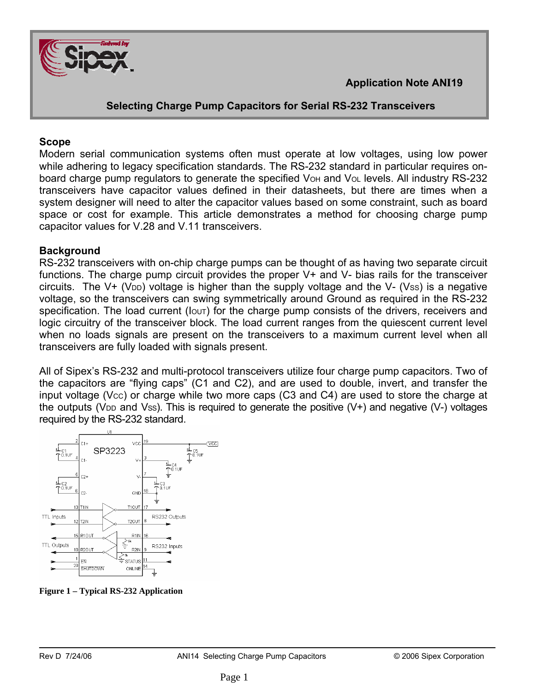

## **Selecting Charge Pump Capacitors for Serial RS-232 Transceivers**

#### **Scope**

Modern serial communication systems often must operate at low voltages, using low power while adhering to legacy specification standards. The RS-232 standard in particular requires onboard charge pump regulators to generate the specified V<sub>OH</sub> and V<sub>OL</sub> levels. All industry RS-232 transceivers have capacitor values defined in their datasheets, but there are times when a system designer will need to alter the capacitor values based on some constraint, such as board space or cost for example. This article demonstrates a method for choosing charge pump capacitor values for V.28 and V.11 transceivers.

#### **Background**

RS-232 transceivers with on-chip charge pumps can be thought of as having two separate circuit functions. The charge pump circuit provides the proper V+ and V- bias rails for the transceiver circuits. The V+ (V<sub>DD</sub>) voltage is higher than the supply voltage and the V- (Vss) is a negative voltage, so the transceivers can swing symmetrically around Ground as required in the RS-232 specification. The load current ( $I_{\text{OUT}}$ ) for the charge pump consists of the drivers, receivers and logic circuitry of the transceiver block. The load current ranges from the quiescent current level when no loads signals are present on the transceivers to a maximum current level when all transceivers are fully loaded with signals present.

All of Sipex's RS-232 and multi-protocol transceivers utilize four charge pump capacitors. Two of the capacitors are "flying caps" (C1 and C2), and are used to double, invert, and transfer the input voltage (V $cc$ ) or charge while two more caps (C3 and C4) are used to store the charge at the outputs (V<sub>DD</sub> and Vss). This is required to generate the positive (V+) and negative (V-) voltages required by the RS-232 standard.



**Figure 1 – Typical RS-232 Application**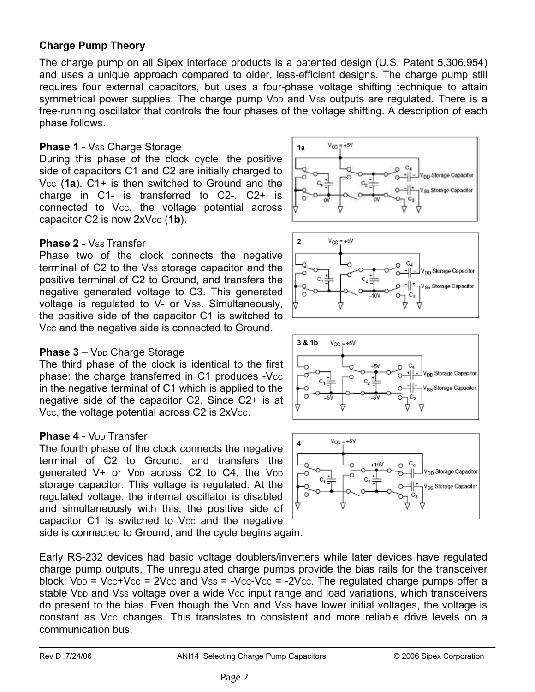# **Charge Pump Theory**

The charge pump on all Sipex interface products is a patented design (U.S. Patent 5,306,954) and uses a unique approach compared to older, less-efficient designs. The charge pump still requires four external capacitors, but uses a four-phase voltage shifting technique to attain symmetrical power supplies. The charge pump V<sub>DD</sub> and Vss outputs are regulated. There is a free-running oscillator that controls the four phases of the voltage shifting. A description of each phase follows.

# **Phase 1 - Vss Charge Storage**

During this phase of the clock cycle, the positive side of capacitors C1 and C2 are initially charged to V<sub>cc</sub> (1a). C1+ is then switched to Ground and the charge in C1- is transferred to C2-. C2+ is connected to Vcc, the voltage potential across capacitor C2 is now 2xV<sub>cc</sub> (1b).

# **Phase 2 - Vss Transfer**

Phase two of the clock connects the negative terminal of C2 to the Vss storage capacitor and the positive terminal of C2 to Ground, and transfers the negative generated voltage to C3. This generated voltage is regulated to V- or Vss. Simultaneously, the positive side of the capacitor C1 is switched to Vcc and the negative side is connected to Ground.

## **Phase 3** – V<sub>DD</sub> Charge Storage

The third phase of the clock is identical to the first phase: the charge transferred in  $C1$  produces -V $cc$ in the negative terminal of C1 which is applied to the negative side of the capacitor C2. Since C2+ is at Vcc, the voltage potential across  $C2$  is  $2xV$ cc.

# **Phase 4** - V<sub>DD</sub> Transfer

The fourth phase of the clock connects the negative terminal of C2 to Ground, and transfers the generated  $V+$  or  $V<sub>DD</sub>$  across C2 to C4, the  $V<sub>DD</sub>$ storage capacitor. This voltage is regulated. At the regulated voltage, the internal oscillator is disabled and simultaneously with this, the positive side of capacitor  $C1$  is switched to  $V_{CC}$  and the negative

side is connected to Ground, and the cycle begins again.









Early RS-232 devices had basic voltage doublers/inverters while later devices have regulated charge pump outputs. The unregulated charge pumps provide the bias rails for the transceiver block;  $V_{DD}$  = Vcc+Vcc = 2Vcc and Vss = -Vcc-Vcc = -2Vcc. The regulated charge pumps offer a stable V<sub>DD</sub> and Vss voltage over a wide V<sub>CC</sub> input range and load variations, which transceivers do present to the bias. Even though the V<sub>DD</sub> and Vss have lower initial voltages, the voltage is constant as V<sub>cc</sub> changes. This translates to consistent and more reliable drive levels on a communication bus.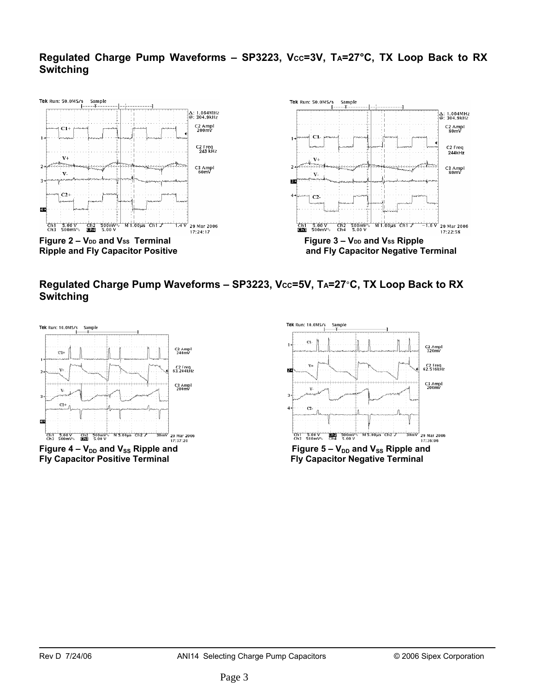## Regulated Charge Pump Waveforms - SP3223, Vcc=3V, TA=27°C, TX Loop Back to RX **Switching**



Regulated Charge Pump Waveforms - SP3223, Vcc=5V, TA=27°C, TX Loop Back to RX **Switching** 





**Fly Capacitor Negative Terminal**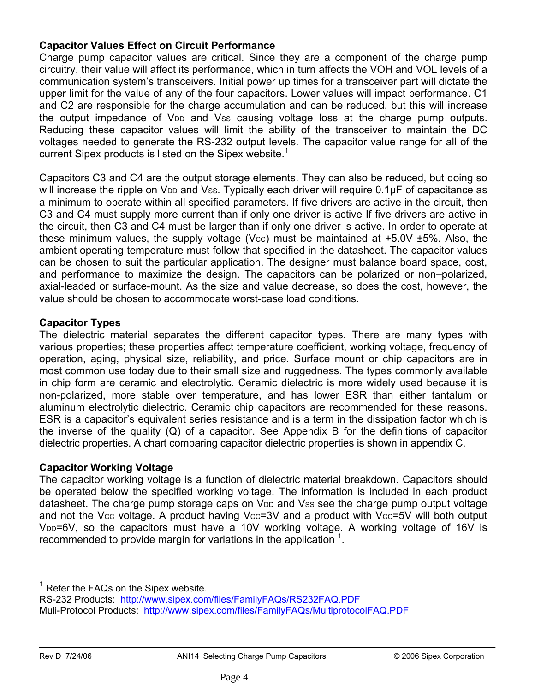## **Capacitor Values Effect on Circuit Performance**

Charge pump capacitor values are critical. Since they are a component of the charge pump circuitry, their value will affect its performance, which in turn affects the VOH and VOL levels of a communication system's transceivers. Initial power up times for a transceiver part will dictate the upper limit for the value of any of the four capacitors. Lower values will impact performance. C1 and C2 are responsible for the charge accumulation and can be reduced, but this will increase the output impedance of V<sub>DD</sub> and Vss causing voltage loss at the charge pump outputs. Reducing these capacitor values will limit the ability of the transceiver to maintain the DC voltages needed to generate the RS-232 output levels. The capacitor value range for all of the current Sipex products is listed on the Sipex website.<sup>1</sup>

Capacitors C3 and C4 are the output storage elements. They can also be reduced, but doing so will increase the ripple on V<sub>DD</sub> and Vss. Typically each driver will require  $0.1 \mu F$  of capacitance as a minimum to operate within all specified parameters. If five drivers are active in the circuit, then C3 and C4 must supply more current than if only one driver is active If five drivers are active in the circuit, then C3 and C4 must be larger than if only one driver is active. In order to operate at these minimum values, the supply voltage (Vcc) must be maintained at  $+5.0V \pm 5\%$ . Also, the ambient operating temperature must follow that specified in the datasheet. The capacitor values can be chosen to suit the particular application. The designer must balance board space, cost, and performance to maximize the design. The capacitors can be polarized or non–polarized, axial-leaded or surface-mount. As the size and value decrease, so does the cost, however, the value should be chosen to accommodate worst-case load conditions.

## **Capacitor Types**

The dielectric material separates the different capacitor types. There are many types with various properties; these properties affect temperature coefficient, working voltage, frequency of operation, aging, physical size, reliability, and price. Surface mount or chip capacitors are in most common use today due to their small size and ruggedness. The types commonly available in chip form are ceramic and electrolytic. Ceramic dielectric is more widely used because it is non-polarized, more stable over temperature, and has lower ESR than either tantalum or aluminum electrolytic dielectric. Ceramic chip capacitors are recommended for these reasons. ESR is a capacitor's equivalent series resistance and is a term in the dissipation factor which is the inverse of the quality (Q) of a capacitor. See Appendix B for the definitions of capacitor dielectric properties. A chart comparing capacitor dielectric properties is shown in appendix C.

#### **Capacitor Working Voltage**

The capacitor working voltage is a function of dielectric material breakdown. Capacitors should be operated below the specified working voltage. The information is included in each product datasheet. The charge pump storage caps on V<sub>DD</sub> and Vss see the charge pump output voltage and not the Vcc voltage. A product having Vcc=3V and a product with Vcc=5V will both output V<sub>DD</sub>=6V, so the capacitors must have a 10V working voltage. A working voltage of 16V is recommended to provide margin for variations in the application  $1$ .

 $1$  Refer the FAQs on the Sipex website. RS-232 Products: http://www.sipex.com/files/FamilyFAQs/RS232FAQ.PDF Muli-Protocol Products: http://www.sipex.com/files/FamilyFAQs/MultiprotocolFAQ.PDF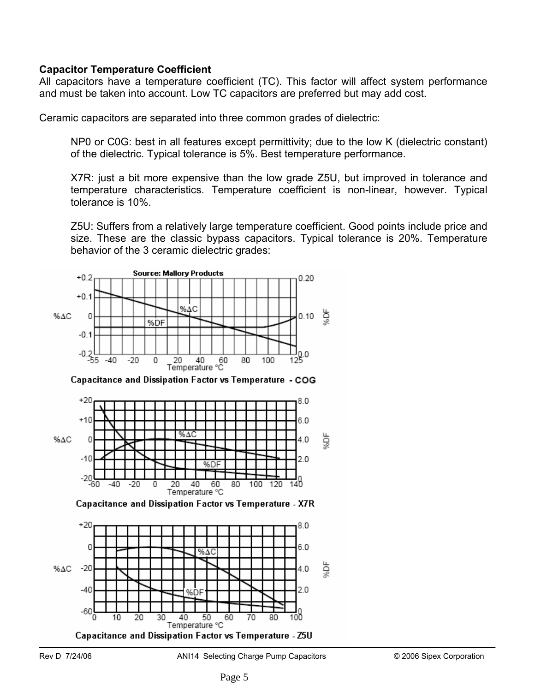#### **Capacitor Temperature Coefficient**

All capacitors have a temperature coefficient (TC). This factor will affect system performance and must be taken into account. Low TC capacitors are preferred but may add cost.

Ceramic capacitors are separated into three common grades of dielectric:

NP0 or C0G: best in all features except permittivity; due to the low K (dielectric constant) of the dielectric. Typical tolerance is 5%. Best temperature performance.

X7R: just a bit more expensive than the low grade Z5U, but improved in tolerance and temperature characteristics. Temperature coefficient is non-linear, however. Typical tolerance is 10%.

Z5U: Suffers from a relatively large temperature coefficient. Good points include price and size. These are the classic bypass capacitors. Typical tolerance is 20%. Temperature behavior of the 3 ceramic dielectric grades:

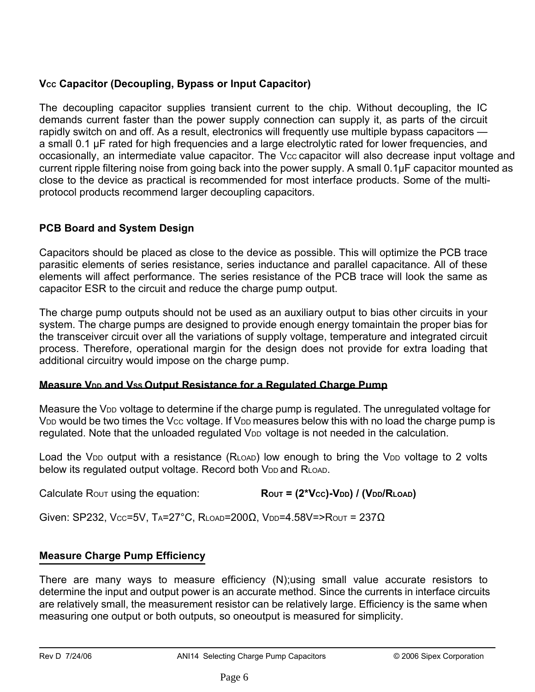# **Vcc Capacitor (Decoupling, Bypass or Input Capacitor)**

The decoupling capacitor supplies transient current to the chip. Without decoupling, the IC demands current faster than the power supply connection can supply it, as parts of the circuit rapidly switch on and off. As a result, electronics will frequently use multiple bypass capacitors a small 0.1 µF rated for high frequencies and a large electrolytic rated for lower frequencies, and occasionally, an intermediate value capacitor. The Vcc capacitor will also decrease input voltage and current ripple filtering noise from going back into the power supply. A small 0.1μF capacitor mounted as close to the device as practical is recommended for most interface products. Some of the multiprotocol products recommend larger decoupling capacitors.

# **PCB Board and System Design**

Capacitors should be placed as close to the device as possible. This will optimize the PCB trace parasitic elements of series resistance, series inductance and parallel capacitance. All of these elements will affect performance. The series resistance of the PCB trace will look the same as capacitor ESR to the circuit and reduce the charge pump output.

The charge pump outputs should not be used as an auxiliary output to bias other circuits in your system. The charge pumps are designed to provide enough energy tomaintain the proper bias for the transceiver circuit over all the variations of supply voltage, temperature and integrated circuit process. Therefore, operational margin for the design does not provide for extra loading that additional circuitry would impose on the charge pump.

## **Measure V<sub>DD</sub> and Vss Output Resistance for a Regulated Charge Pump**

Measure the V<sub>DD</sub> voltage to determine if the charge pump is regulated. The unregulated voltage for V<sub>DD</sub> would be two times the V<sub>CC</sub> voltage. If V<sub>DD</sub> measures below this with no load the charge pump is regulated. Note that the unloaded regulated V<sub>DD</sub> voltage is not needed in the calculation.

Load the V<sub>DD</sub> output with a resistance (RLOAD) low enough to bring the V<sub>DD</sub> voltage to 2 volts below its regulated output voltage. Record both V<sub>DD</sub> and RLOAD.

Calculate Rout using the equation: **Rout** = (2<sup>\*</sup>Vcc)-V<sub>DD</sub>) / (V<sub>DD</sub>/RLOAD)

Given: SP232, Vcc=5V, TA=27°C, RLOAD=200 $\Omega$ , VDD=4.58V=>ROUT = 237 $\Omega$ 

# **Measure Charge Pump Efficiency**

There are many ways to measure efficiency (N);using small value accurate resistors to determine the input and output power is an accurate method. Since the currents in interface circuits are relatively small, the measurement resistor can be relatively large. Efficiency is the same when measuring one output or both outputs, so oneoutput is measured for simplicity.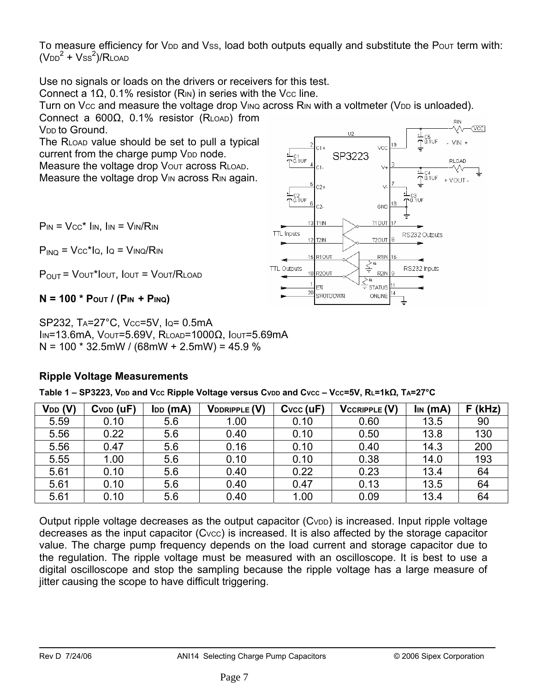To measure efficiency for  $V_{DD}$  and  $V_{SS}$ , load both outputs equally and substitute the Pout term with:  $(VDD<sup>2</sup> + Vss<sup>2</sup>)/R$ load

Use no signals or loads on the drivers or receivers for this test.

Connect a 1 $\Omega$ , 0.1% resistor (R<sub>IN</sub>) in series with the Vcc line.

Turn on Vcc and measure the voltage drop VINQ across RIN with a voltmeter (VDD is unloaded). Connect a 600 $Ω$ , 0.1% resistor (RLOAD) from

V<sub>DD</sub> to Ground.

The RLOAD value should be set to pull a typical current from the charge pump V<sub>DD</sub> node.

Measure the voltage drop Vout across RLOAD. Measure the voltage drop V<sub>IN</sub> across R<sub>IN</sub> again.

 $P_{IN} = V_{CC}$ \* IIN, IIN = VIN/RIN

 $P_{INO} = Vcc^*IQ$ ,  $IQ = V_{INO}/R_{IN}$ 

 $P_{\text{OUT}} = \text{Vout*}$ lout, Iout =  $\text{Vout/}R$ load

**N = 100 \* POUT / (PIN + PINQ)** 

SP232, TA=27°C, Vcc=5V, IQ= 0.5mA IIN=13.6mA, VOUT=5.69V, RLOAD=1000Ω, IOUT=5.69mA  $N = 100 * 32.5$ mW / (68mW + 2.5mW) = 45.9 %

# **Ripple Voltage Measurements**

**Table 1 – SP3223, VDD and VCC Ripple Voltage versus CVDD and CVCC – VCC=5V, RL=1kΩ, TA=27°C** 

| $V_{DD} (V)$ | $CVDD$ (uF) | $\mathsf{I}_{DD}(\mathsf{mA})$ | <b>VDDRIPPLE (V)</b> | Cycc (uF) | <b>VCCRIPPLE (V)</b> | In (mA) | F (kHz) |
|--------------|-------------|--------------------------------|----------------------|-----------|----------------------|---------|---------|
| 5.59         | 0.10        | 5.6                            | 1.00                 | 0.10      | 0.60                 | 13.5    | 90      |
| 5.56         | 0.22        | 5.6                            | 0.40                 | 0.10      | 0.50                 | 13.8    | 130     |
| 5.56         | 0.47        | 5.6                            | 0.16                 | 0.10      | 0.40                 | 14.3    | 200     |
| 5.55         | 1.00        | 5.6                            | 0.10                 | 0.10      | 0.38                 | 14.0    | 193     |
| 5.61         | 0.10        | 5.6                            | 0.40                 | 0.22      | 0.23                 | 13.4    | 64      |
| 5.61         | 0.10        | 5.6                            | 0.40                 | 0.47      | 0.13                 | 13.5    | 64      |
| 5.61         | 0.10        | 5.6                            | 0.40                 | 1.00      | 0.09                 | 13.4    | 64      |

Output ripple voltage decreases as the output capacitor  $(Cv_{DD})$  is increased. Input ripple voltage decreases as the input capacitor (Cvcc) is increased. It is also affected by the storage capacitor value. The charge pump frequency depends on the load current and storage capacitor due to the regulation. The ripple voltage must be measured with an oscilloscope. It is best to use a digital oscilloscope and stop the sampling because the ripple voltage has a large measure of jitter causing the scope to have difficult triggering.

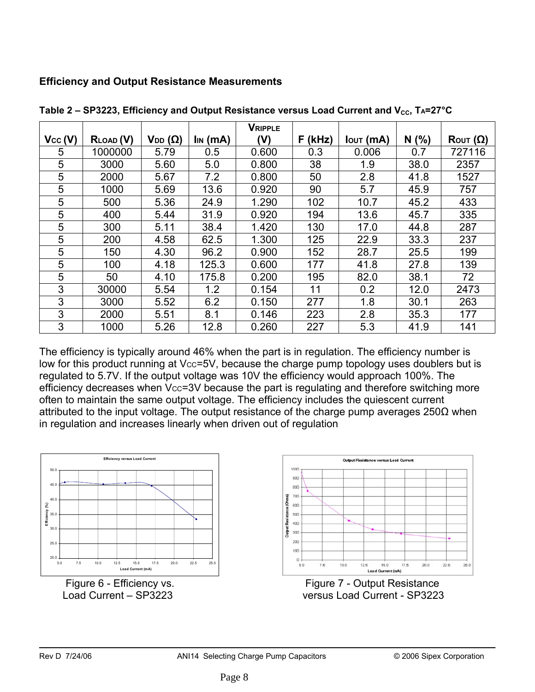## **Efficiency and Output Resistance Measurements**

|        |           |                  |                             | <b>VRIPPLE</b> |           |           |       |                 |  |
|--------|-----------|------------------|-----------------------------|----------------|-----------|-----------|-------|-----------------|--|
| Vec(V) | RLOAD (V) | $V_{DD}(\Omega)$ | $\mathsf{lin}(\mathsf{mA})$ | (V)            | $F$ (kHz) | Ιουτ (mA) | N(% ) | ROUT $(\Omega)$ |  |
| 5      | 1000000   | 5.79             | 0.5                         | 0.600          | 0.3       | 0.006     | 0.7   | 727116          |  |
| 5      | 3000      | 5.60             | 5.0                         | 0.800          | 38        | 1.9       | 38.0  | 2357            |  |
| 5      | 2000      | 5.67             | 7.2                         | 0.800          | 50        | 2.8       | 41.8  | 1527            |  |
| 5      | 1000      | 5.69             | 13.6                        | 0.920          | 90        | 5.7       | 45.9  | 757             |  |
| 5      | 500       | 5.36             | 24.9                        | 1.290          | 102       | 10.7      | 45.2  | 433             |  |
| 5      | 400       | 5.44             | 31.9                        | 0.920          | 194       | 13.6      | 45.7  | 335             |  |
| 5      | 300       | 5.11             | 38.4                        | 1.420          | 130       | 17.0      |       | 287             |  |
| 5      | 200       | 4.58             | 62.5                        | 1.300          | 125       | 22.9      | 33.3  | 237             |  |
| 5      | 150       | 4.30             | 96.2                        | 0.900          | 152       | 28.7      | 25.5  | 199             |  |
| 5      | 100       | 4.18             | 125.3                       | 0.600          | 177       | 41.8      | 27.8  | 139             |  |
| 5      | 50        | 4.10             | 175.8                       | 0.200          | 195       | 82.0      | 38.1  | 72              |  |
| 3      | 30000     | 5.54             | 1.2                         | 0.154          | 11        | 0.2       | 12.0  | 2473            |  |
| 3      | 3000      | 5.52             | 6.2                         | 0.150          | 277       | 1.8       | 30.1  | 263             |  |
| 3      | 2000      | 5.51             | 8.1                         | 0.146          | 223       | 2.8       | 35.3  | 177             |  |
| 3      | 1000      | 5.26             | 12.8                        | 0.260          | 227       | 5.3       | 41.9  | 141             |  |

Table 2 – SP3223, Efficiency and Output Resistance versus Load Current and V<sub>cc</sub>, TA=27°C

The efficiency is typically around 46% when the part is in regulation. The efficiency number is low for this product running at Vcc=5V, because the charge pump topology uses doublers but is regulated to 5.7V. If the output voltage was 10V the efficiency would approach 100%. The efficiency decreases when Vcc=3V because the part is regulating and therefore switching more often to maintain the same output voltage. The efficiency includes the quiescent current attributed to the input voltage. The output resistance of the charge pump averages  $250\Omega$  when in regulation and increases linearly when driven out of regulation



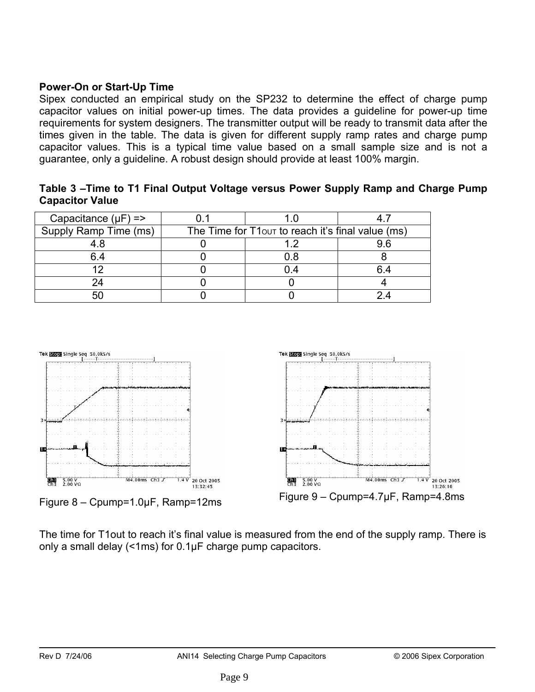## **Power-On or Start-Up Time**

Sipex conducted an empirical study on the SP232 to determine the effect of charge pump capacitor values on initial power-up times. The data provides a guideline for power-up time requirements for system designers. The transmitter output will be ready to transmit data after the times given in the table. The data is given for different supply ramp rates and charge pump capacitor values. This is a typical time value based on a small sample size and is not a guarantee, only a guideline. A robust design should provide at least 100% margin.

**Table 3 –Time to T1 Final Output Voltage versus Power Supply Ramp and Charge Pump Capacitor Value** 

| Capacitance $(\mu F)$ => |                                                   |     |     |  |  |  |  |  |
|--------------------------|---------------------------------------------------|-----|-----|--|--|--|--|--|
| Supply Ramp Time (ms)    | The Time for T10UT to reach it's final value (ms) |     |     |  |  |  |  |  |
| 48                       |                                                   |     | 96  |  |  |  |  |  |
|                          |                                                   | 0.8 |     |  |  |  |  |  |
|                          |                                                   | 04  | 6 4 |  |  |  |  |  |
|                          |                                                   |     |     |  |  |  |  |  |
|                          |                                                   |     |     |  |  |  |  |  |



The time for T1out to reach it's final value is measured from the end of the supply ramp. There is only a small delay (<1ms) for 0.1μF charge pump capacitors.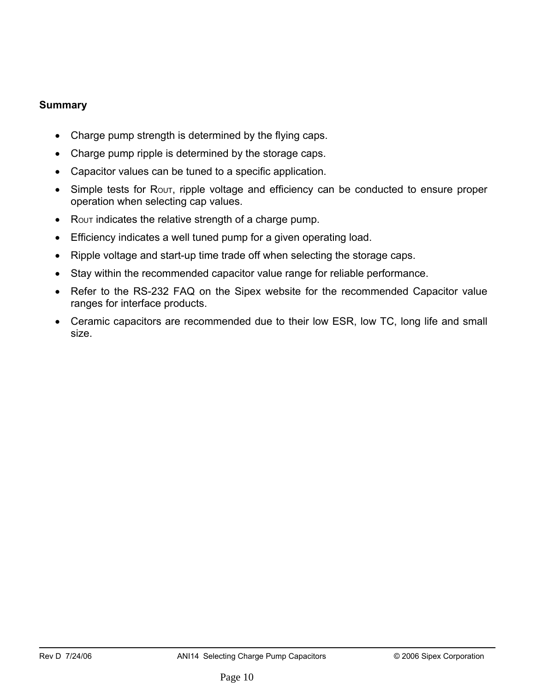## **Summary**

- Charge pump strength is determined by the flying caps.
- Charge pump ripple is determined by the storage caps.
- Capacitor values can be tuned to a specific application.
- Simple tests for Rout, ripple voltage and efficiency can be conducted to ensure proper operation when selecting cap values.
- Rout indicates the relative strength of a charge pump.
- Efficiency indicates a well tuned pump for a given operating load.
- Ripple voltage and start-up time trade off when selecting the storage caps.
- Stay within the recommended capacitor value range for reliable performance.
- Refer to the RS-232 FAQ on the Sipex website for the recommended Capacitor value ranges for interface products.
- Ceramic capacitors are recommended due to their low ESR, low TC, long life and small size.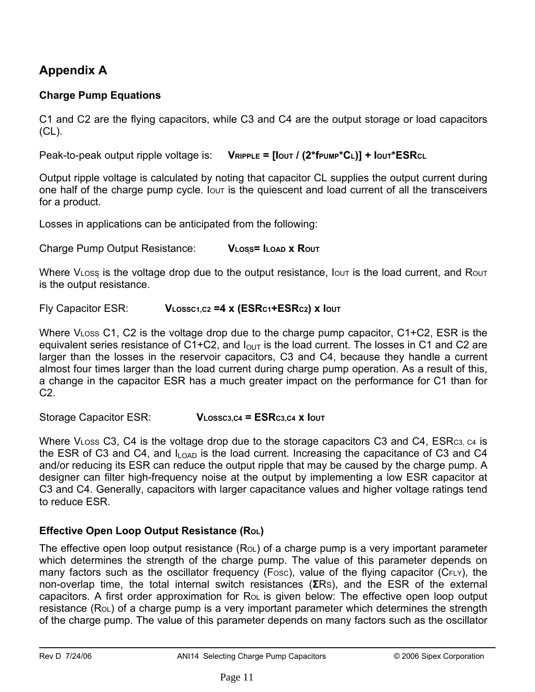# **Appendix A**

# **Charge Pump Equations**

C1 and C2 are the flying capacitors, while C3 and C4 are the output storage or load capacitors (CL).

Peak-to-peak output ripple voltage is: VRIPPLE = [lout / (2\*fPUMP<sup>\*</sup>CL)] + lout\*ESRcL

Output ripple voltage is calculated by noting that capacitor CL supplies the output current during one half of the charge pump cycle.  $I_{\text{OUT}}$  is the quiescent and load current of all the transceivers for a product.

Losses in applications can be anticipated from the following:

Charge Pump Output Resistance: **VLOSS= ILOAD x ROUT**

Where VLoss is the voltage drop due to the output resistance, lout is the load current, and Rout is the output resistance.

# Fly Capacitor ESR: **VLOSSC1,C2 =4 x (ESRC1+ESRC2) x IOUT**

Where V<sub>LOSS</sub> C1, C2 is the voltage drop due to the charge pump capacitor, C1+C2, ESR is the equivalent series resistance of C1+C2, and  $I_{\text{OUT}}$  is the load current. The losses in C1 and C2 are larger than the losses in the reservoir capacitors, C3 and C4, because they handle a current almost four times larger than the load current during charge pump operation. As a result of this, a change in the capacitor ESR has a much greater impact on the performance for C1 than for C2.

Storage Capacitor ESR: **VLOSSC3,C4 = ESRC3,C4 x IOUT** 

Where VLoss C3, C4 is the voltage drop due to the storage capacitors C3 and C4, ESRc3, c4 is the ESR of C3 and C4, and  $I_{\text{LOAD}}$  is the load current. Increasing the capacitance of C3 and C4 and/or reducing its ESR can reduce the output ripple that may be caused by the charge pump. A designer can filter high-frequency noise at the output by implementing a low ESR capacitor at C3 and C4. Generally, capacitors with larger capacitance values and higher voltage ratings tend to reduce ESR.

# **Effective Open Loop Output Resistance (ROL)**

The effective open loop output resistance  $(RoL)$  of a charge pump is a very important parameter which determines the strength of the charge pump. The value of this parameter depends on many factors such as the oscillator frequency (Fosc), value of the flying capacitor ( $C_{FLY}$ ), the non-overlap time, the total internal switch resistances (**Σ**RS), and the ESR of the external capacitors. A first order approximation for  $Ro\omega$  is given below: The effective open loop output resistance (ROL) of a charge pump is a very important parameter which determines the strength of the charge pump. The value of this parameter depends on many factors such as the oscillator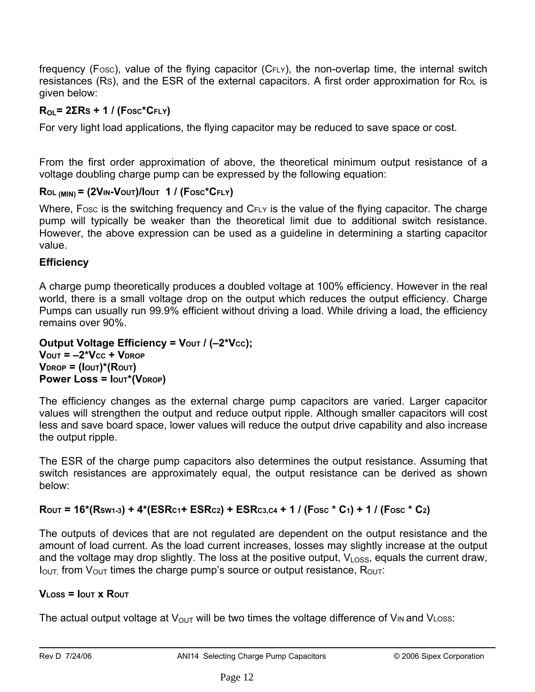frequency (Fosc), value of the flying capacitor ( $C_{FLY}$ ), the non-overlap time, the internal switch resistances (Rs), and the ESR of the external capacitors. A first order approximation for R $o\text{L}$  is given below:

# **ROL= 2ΣRS + 1 / (FOSC\*CFLY)**

For very light load applications, the flying capacitor may be reduced to save space or cost.

From the first order approximation of above, the theoretical minimum output resistance of a voltage doubling charge pump can be expressed by the following equation:

**ROL (MIN) = (2VIN-VOUT)/IOUT 1 / (FOSC\*CFLY)** 

Where, Fosc is the switching frequency and CFLY is the value of the flying capacitor. The charge pump will typically be weaker than the theoretical limit due to additional switch resistance. However, the above expression can be used as a guideline in determining a starting capacitor value.

# **Efficiency**

A charge pump theoretically produces a doubled voltage at 100% efficiency. However in the real world, there is a small voltage drop on the output which reduces the output efficiency. Charge Pumps can usually run 99.9% efficient without driving a load. While driving a load, the efficiency remains over 90%.

**Output Voltage Efficiency = Vout / (-2\*Vcc);**  $V$ OUT =  $-2$ <sup>\*</sup> $V$ cc +  $V$ DROP **VDROP = (IOUT)\*(ROUT) Power Loss = Iout\*(VDROP)** 

The efficiency changes as the external charge pump capacitors are varied. Larger capacitor values will strengthen the output and reduce output ripple. Although smaller capacitors will cost less and save board space, lower values will reduce the output drive capability and also increase the output ripple.

The ESR of the charge pump capacitors also determines the output resistance. Assuming that switch resistances are approximately equal, the output resistance can be derived as shown below:

# **ROUT = 16\*(RSW1-3) + 4\*(ESRC1+ ESRC2) + ESRC3,C4 + 1 / (FOSC \* C1) + 1 / (FOSC \* C2)**

The outputs of devices that are not regulated are dependent on the output resistance and the amount of load current. As the load current increases, losses may slightly increase at the output and the voltage may drop slightly. The loss at the positive output,  $V_{\text{LOSS}}$ , equals the current draw,  $I<sub>OUT</sub>$  from  $V<sub>OUT</sub>$  times the charge pump's source or output resistance,  $R<sub>OUT</sub>$ :

# **VLOSS = IOUT x ROUT**

The actual output voltage at  $V_{\text{OUT}}$  will be two times the voltage difference of V<sub>IN</sub> and VLoss: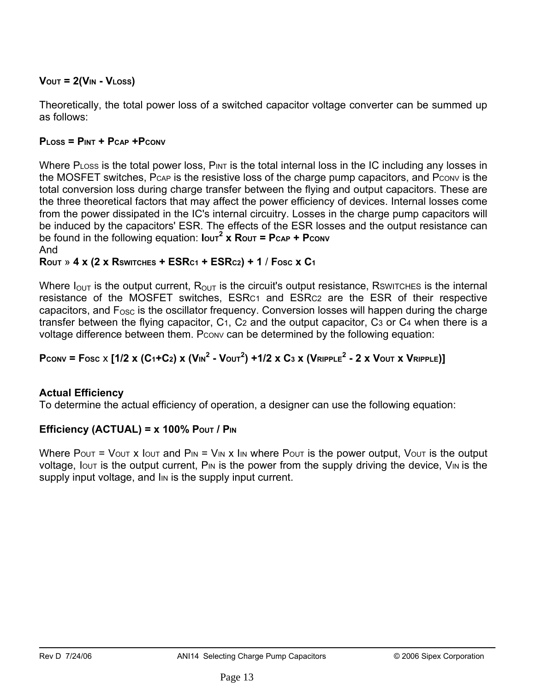# **VOUT = 2(VIN - VLOSS)**

Theoretically, the total power loss of a switched capacitor voltage converter can be summed up as follows:

## $P<sub>L</sub>$ <sub>OSS</sub> =  $P<sub>INT</sub>$  +  $P<sub>CAP</sub>$  +  $P<sub>CONV</sub>$

Where  $P<sub>Loss</sub>$  is the total power loss,  $P<sub>INT</sub>$  is the total internal loss in the IC including any losses in the MOSFET switches, Pcap is the resistive loss of the charge pump capacitors, and Pconv is the total conversion loss during charge transfer between the flying and output capacitors. These are the three theoretical factors that may affect the power efficiency of devices. Internal losses come from the power dissipated in the IC's internal circuitry. Losses in the charge pump capacitors will be induced by the capacitors' ESR. The effects of the ESR losses and the output resistance can be found in the following equation:  $I_{\text{OUT}}^2$  x  $R_{\text{OUT}} = P_{\text{CAP}} + P_{\text{CONV}}$ And

## **ROUT** » **4 x (2 x RSWITCHES + ESRC1 + ESRC2) + 1** / **FOSC x C1**

Where  $I_{\text{OUT}}$  is the output current,  $R_{\text{OUT}}$  is the circuit's output resistance, Rswitches is the internal resistance of the MOSFET switches, ESRC1 and ESRC2 are the ESR of their respective capacitors, and  $F_{\text{OSC}}$  is the oscillator frequency. Conversion losses will happen during the charge transfer between the flying capacitor, C1, C2 and the output capacitor, C3 or C4 when there is a voltage difference between them. Pcony can be determined by the following equation:

 $P_{\text{CONV}} = F_{\text{OSC}} \times [1/2 \times (C_1 + C_2) \times (V_{\text{IN}}^2 - V_{\text{OUT}}^2) + 1/2 \times C_3 \times (V_{\text{RIPPLE}}^2 - 2 \times V_{\text{OUT}} \times V_{\text{RIPPLE}})]$ 

# **Actual Efficiency**

To determine the actual efficiency of operation, a designer can use the following equation:

## Efficiency (ACTUAL) = x 100% Pout / PIN

Where  $P_{\text{OUT}} = V_{\text{OUT}}$  x lout and  $P_{\text{IN}} = V_{\text{IN}}$  x lin where  $P_{\text{OUT}}$  is the power output,  $V_{\text{OUT}}$  is the output voltage,  $I_{\text{OUT}}$  is the output current,  $P_{\text{IN}}$  is the power from the supply driving the device,  $V_{\text{IN}}$  is the supply input voltage, and I<sub>IN</sub> is the supply input current.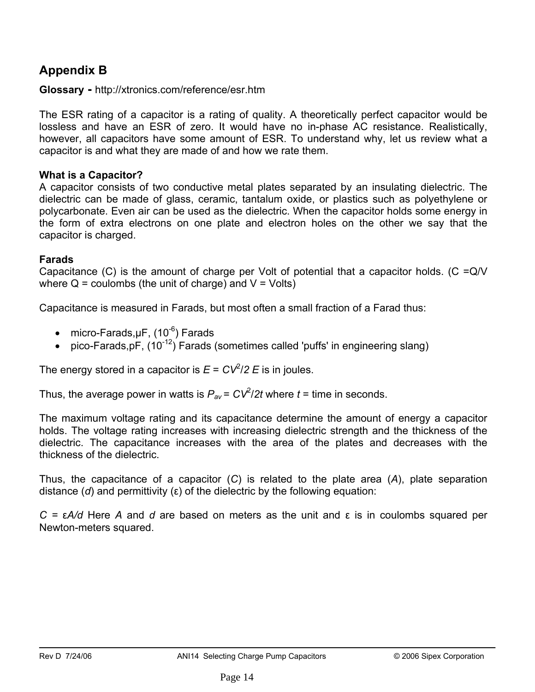# **Appendix B**

**Glossary -** http://xtronics.com/reference/esr.htm

The ESR rating of a capacitor is a rating of quality. A theoretically perfect capacitor would be lossless and have an ESR of zero. It would have no in-phase AC resistance. Realistically, however, all capacitors have some amount of ESR. To understand why, let us review what a capacitor is and what they are made of and how we rate them.

## **What is a Capacitor?**

A capacitor consists of two conductive metal plates separated by an insulating dielectric. The dielectric can be made of glass, ceramic, tantalum oxide, or plastics such as polyethylene or polycarbonate. Even air can be used as the dielectric. When the capacitor holds some energy in the form of extra electrons on one plate and electron holes on the other we say that the capacitor is charged.

## **Farads**

Capacitance (C) is the amount of charge per Volt of potential that a capacitor holds. (C =Q/V where  $Q =$  coulombs (the unit of charge) and  $V =$  Volts)

Capacitance is measured in Farads, but most often a small fraction of a Farad thus:

- micro-Farads,  $\mu$ F, (10<sup>-6</sup>) Farads
- pico-Farads,  $pF$ , (10<sup>-12</sup>) Farads (sometimes called 'puffs' in engineering slang)

The energy stored in a capacitor is  $E = CV^2/2$  *E* is in joules.

Thus, the average power in watts is  $P_{av}$  =  $CV^2/2t$  where  $t$  = time in seconds.

The maximum voltage rating and its capacitance determine the amount of energy a capacitor holds. The voltage rating increases with increasing dielectric strength and the thickness of the dielectric. The capacitance increases with the area of the plates and decreases with the thickness of the dielectric.

Thus, the capacitance of a capacitor (*C*) is related to the plate area (*A*), plate separation distance (*d*) and permittivity (ε) of the dielectric by the following equation:

*C =* ε*A/d* Here *A* and *d* are based on meters as the unit and ε is in coulombs squared per Newton-meters squared.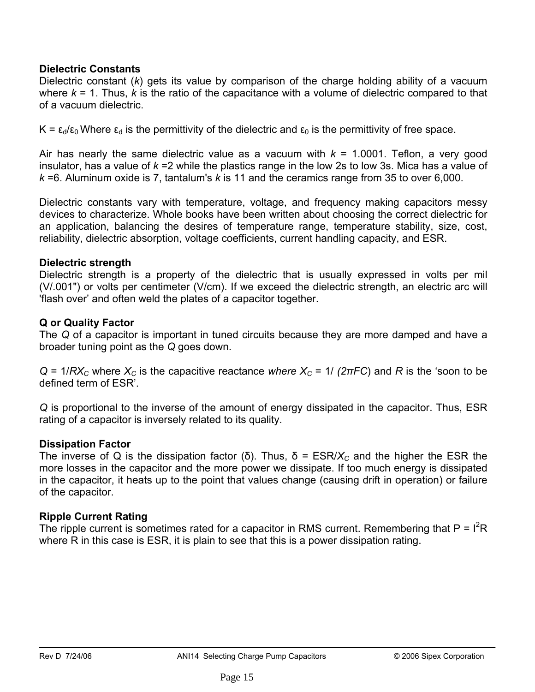## **Dielectric Constants**

Dielectric constant (*k*) gets its value by comparison of the charge holding ability of a vacuum where *k* = 1. Thus, *k* is the ratio of the capacitance with a volume of dielectric compared to that of a vacuum dielectric.

 $K = \epsilon_{d}/\epsilon_{0}$  Where  $\epsilon_{d}$  is the permittivity of the dielectric and  $\epsilon_{0}$  is the permittivity of free space.

Air has nearly the same dielectric value as a vacuum with  $k = 1.0001$ . Teflon, a very good insulator, has a value of *k* =2 while the plastics range in the low 2s to low 3s. Mica has a value of *k* =6. Aluminum oxide is 7, tantalum's *k* is 11 and the ceramics range from 35 to over 6,000.

Dielectric constants vary with temperature, voltage, and frequency making capacitors messy devices to characterize. Whole books have been written about choosing the correct dielectric for an application, balancing the desires of temperature range, temperature stability, size, cost, reliability, dielectric absorption, voltage coefficients, current handling capacity, and ESR.

## **Dielectric strength**

Dielectric strength is a property of the dielectric that is usually expressed in volts per mil (V/.001") or volts per centimeter (V/cm). If we exceed the dielectric strength, an electric arc will 'flash over' and often weld the plates of a capacitor together.

## **Q or Quality Factor**

The *Q* of a capacitor is important in tuned circuits because they are more damped and have a broader tuning point as the *Q* goes down.

*Q* = 1/*RX<sub>C</sub>* where *X<sub>C</sub>* is the capacitive reactance *where X<sub>C</sub>* = 1/ (2*πFC*) and *R* is the 'soon to be defined term of ESR'.

*Q* is proportional to the inverse of the amount of energy dissipated in the capacitor. Thus, ESR rating of a capacitor is inversely related to its quality.

## **Dissipation Factor**

The inverse of Q is the dissipation factor (δ). Thus,  $\delta$  = ESR/ $X_c$  and the higher the ESR the more losses in the capacitor and the more power we dissipate. If too much energy is dissipated in the capacitor, it heats up to the point that values change (causing drift in operation) or failure of the capacitor.

## **Ripple Current Rating**

The ripple current is sometimes rated for a capacitor in RMS current. Remembering that  $P = I<sup>2</sup>R$ where R in this case is ESR, it is plain to see that this is a power dissipation rating.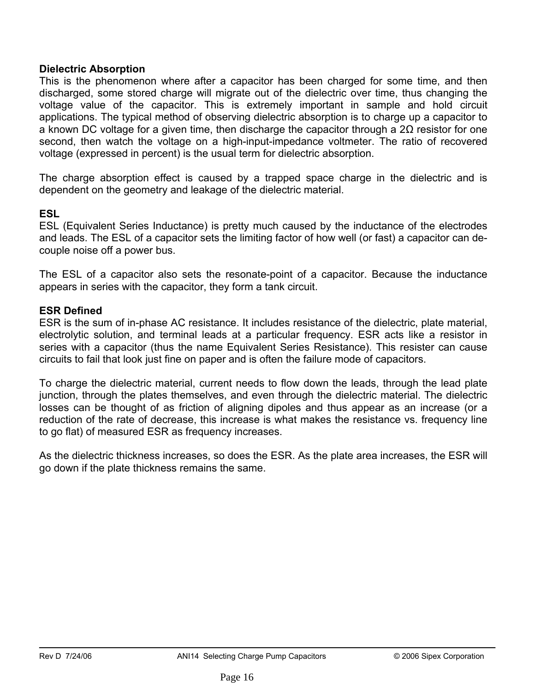#### **Dielectric Absorption**

This is the phenomenon where after a capacitor has been charged for some time, and then discharged, some stored charge will migrate out of the dielectric over time, thus changing the voltage value of the capacitor. This is extremely important in sample and hold circuit applications. The typical method of observing dielectric absorption is to charge up a capacitor to a known DC voltage for a given time, then discharge the capacitor through a  $2\Omega$  resistor for one second, then watch the voltage on a high-input-impedance voltmeter. The ratio of recovered voltage (expressed in percent) is the usual term for dielectric absorption.

The charge absorption effect is caused by a trapped space charge in the dielectric and is dependent on the geometry and leakage of the dielectric material.

## **ESL**

ESL (Equivalent Series Inductance) is pretty much caused by the inductance of the electrodes and leads. The ESL of a capacitor sets the limiting factor of how well (or fast) a capacitor can decouple noise off a power bus.

The ESL of a capacitor also sets the resonate-point of a capacitor. Because the inductance appears in series with the capacitor, they form a tank circuit.

## **ESR Defined**

ESR is the sum of in-phase AC resistance. It includes resistance of the dielectric, plate material, electrolytic solution, and terminal leads at a particular frequency. ESR acts like a resistor in series with a capacitor (thus the name Equivalent Series Resistance). This resister can cause circuits to fail that look just fine on paper and is often the failure mode of capacitors.

To charge the dielectric material, current needs to flow down the leads, through the lead plate junction, through the plates themselves, and even through the dielectric material. The dielectric losses can be thought of as friction of aligning dipoles and thus appear as an increase (or a reduction of the rate of decrease, this increase is what makes the resistance vs. frequency line to go flat) of measured ESR as frequency increases.

As the dielectric thickness increases, so does the ESR. As the plate area increases, the ESR will go down if the plate thickness remains the same.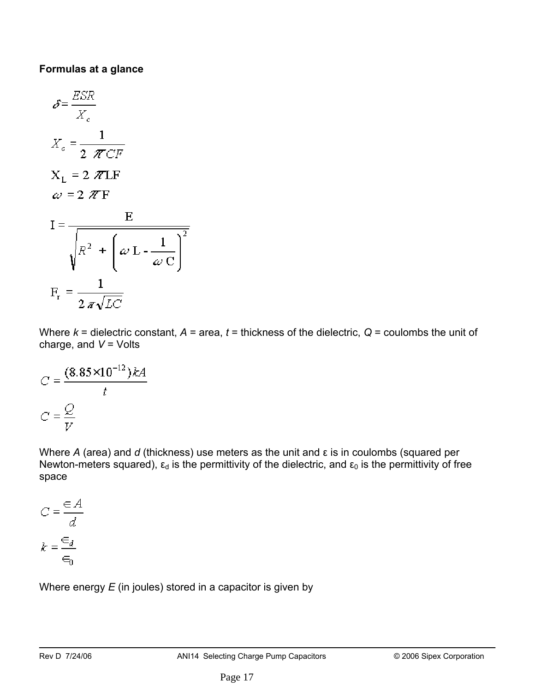## **Formulas at a glance**

$$
\mathcal{S} = \frac{ESR}{X_c}
$$
\n
$$
X_c = \frac{1}{2 \times \mathcal{I}CF}
$$
\n
$$
X_L = 2 \times \mathcal{I}LF
$$
\n
$$
\omega = 2 \times \mathcal{I}F
$$
\n
$$
I = \frac{E}{\sqrt{R^2 + \left(\omega L - \frac{1}{\omega C}\right)^2}}
$$
\n
$$
F_r = \frac{1}{2 \times \sqrt{LC}}
$$

Where *k* = dielectric constant, *A* = area, *t* = thickness of the dielectric, *Q* = coulombs the unit of charge, and *V* = Volts

$$
C = \frac{(8.85 \times 10^{-12})kA}{t}
$$

$$
C = \frac{Q}{V}
$$

Where *A* (area) and *d* (thickness) use meters as the unit and ε is in coulombs (squared per Newton-meters squared),  $\varepsilon_d$  is the permittivity of the dielectric, and  $\varepsilon_0$  is the permittivity of free space

$$
C = \frac{\in A}{d}
$$

$$
k = \frac{\in A}{\infty}
$$

Where energy *E* (in joules) stored in a capacitor is given by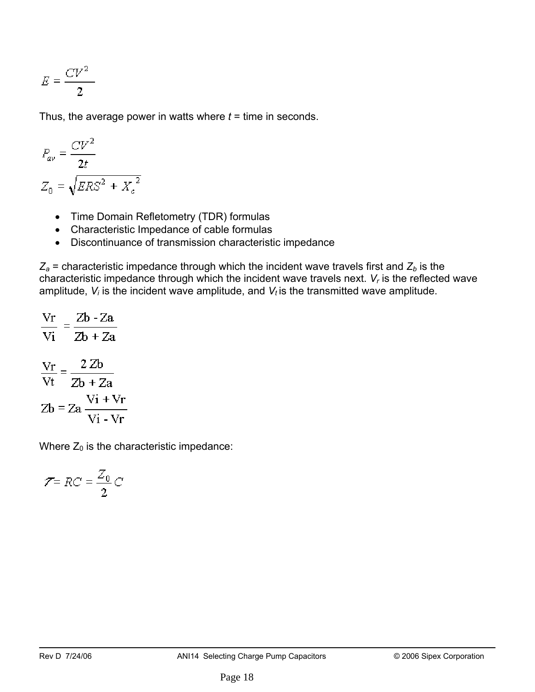$$
E=\frac{CV^2}{2}
$$

Thus, the average power in watts where *t* = time in seconds.

$$
P_{av} = \frac{CV^2}{2t}
$$

$$
Z_0 = \sqrt{ERS^2 + X_c^2}
$$

- Time Domain Refletometry (TDR) formulas
- Characteristic Impedance of cable formulas
- Discontinuance of transmission characteristic impedance

 $Z_a$  = characteristic impedance through which the incident wave travels first and  $Z_b$  is the characteristic impedance through which the incident wave travels next. *Vr* is the reflected wave amplitude,  $V_i$  is the incident wave amplitude, and  $V_t$  is the transmitted wave amplitude.

$$
\frac{\text{Vr}}{\text{Vi}} = \frac{Zb - Za}{Zb + Za}
$$
\n
$$
\frac{\text{Vr}}{\text{Vt}} = \frac{2Zb}{Zb + Za}
$$
\n
$$
Zb = Za \frac{\text{Vi} + \text{Vr}}{\text{Vi} - \text{Vr}}
$$

Where  $Z_0$  is the characteristic impedance:

$$
\mathcal{T} = RC = \frac{Z_0}{2} C
$$